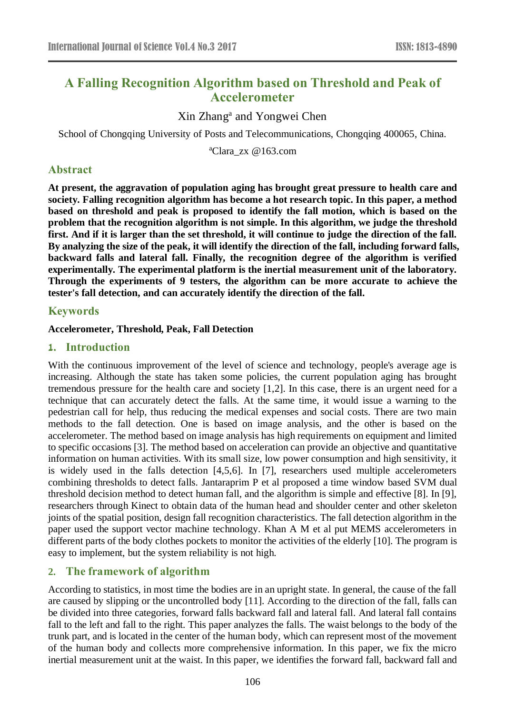# **A Falling Recognition Algorithm based on Threshold and Peak of Accelerometer**

Xin Zhang<sup>a</sup> and Yongwei Chen

School of Chongqing University of Posts and Telecommunications, Chongqing 400065, China.

<sup>a</sup>Clara zx @163.com

# **Abstract**

**At present, the aggravation of population aging has brought great pressure to health care and society. Falling recognition algorithm has become a hot research topic. In this paper, a method based on threshold and peak is proposed to identify the fall motion, which is based on the problem that the recognition algorithm is not simple. In this algorithm, we judge the threshold first. And if it is larger than the set threshold, it will continue to judge the direction of the fall. By analyzing the size of the peak, it will identify the direction of the fall, including forward falls, backward falls and lateral fall. Finally, the recognition degree of the algorithm is verified experimentally. The experimental platform is the inertial measurement unit of the laboratory. Through the experiments of 9 testers, the algorithm can be more accurate to achieve the tester's fall detection, and can accurately identify the direction of the fall.**

# **Keywords**

### **Accelerometer, Threshold, Peak, Fall Detection**

### **1. Introduction**

With the continuous improvement of the level of science and technology, people's average age is increasing. Although the state has taken some policies, the current population aging has brought tremendous pressure for the health care and society [1,2]. In this case, there is an urgent need for a technique that can accurately detect the falls. At the same time, it would issue a warning to the pedestrian call for help, thus reducing the medical expenses and social costs. There are two main methods to the fall detection. One is based on image analysis, and the other is based on the accelerometer. The method based on image analysis has high requirements on equipment and limited to specific occasions [3]. The method based on acceleration can provide an objective and quantitative information on human activities. With its small size, low power consumption and high sensitivity, it is widely used in the falls detection [4,5,6]. In [7], researchers used multiple accelerometers combining thresholds to detect falls. Jantaraprim P et al proposed a time window based SVM dual threshold decision method to detect human fall, and the algorithm is simple and effective [8]. In [9], researchers through Kinect to obtain data of the human head and shoulder center and other skeleton joints of the spatial position, design fall recognition characteristics. The fall detection algorithm in the paper used the support vector machine technology. Khan A M et al put MEMS accelerometers in different parts of the body clothes pockets to monitor the activities of the elderly [10]. The program is easy to implement, but the system reliability is not high.

# **2. The framework of algorithm**

According to statistics, in most time the bodies are in an upright state. In general, the cause of the fall are caused by slipping or the uncontrolled body [11]. According to the direction of the fall, falls can be divided into three categories, forward falls backward fall and lateral fall. And lateral fall contains fall to the left and fall to the right. This paper analyzes the falls. The waist belongs to the body of the trunk part, and is located in the center of the human body, which can represent most of the movement of the human body and collects more comprehensive information. In this paper, we fix the micro inertial measurement unit at the waist. In this paper, we identifies the forward fall, backward fall and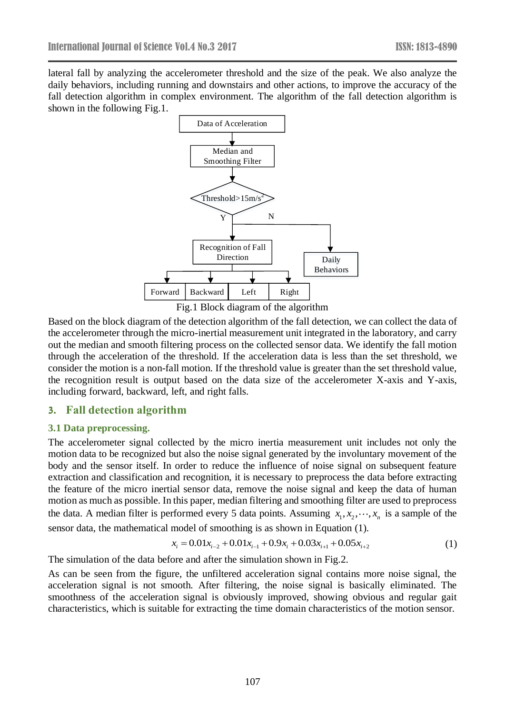lateral fall by analyzing the accelerometer threshold and the size of the peak. We also analyze the daily behaviors, including running and downstairs and other actions, to improve the accuracy of the fall detection algorithm in complex environment. The algorithm of the fall detection algorithm is shown in the following Fig.1.



Fig.1 Block diagram of the algorithm

Based on the block diagram of the detection algorithm of the fall detection, we can collect the data of the accelerometer through the micro-inertial measurement unit integrated in the laboratory, and carry out the median and smooth filtering process on the collected sensor data. We identify the fall motion through the acceleration of the threshold. If the acceleration data is less than the set threshold, we consider the motion is a non-fall motion. If the threshold value is greater than the set threshold value, the recognition result is output based on the data size of the accelerometer X-axis and Y-axis, including forward, backward, left, and right falls.

### **3. Fall detection algorithm**

#### **3.1 Data preprocessing.**

The accelerometer signal collected by the micro inertia measurement unit includes not only the motion data to be recognized but also the noise signal generated by the involuntary movement of the body and the sensor itself. In order to reduce the influence of noise signal on subsequent feature extraction and classification and recognition, it is necessary to preprocess the data before extracting the feature of the micro inertial sensor data, remove the noise signal and keep the data of human motion as much as possible. In this paper, median filtering and smoothing filter are used to preprocess the data. A median filter is performed every 5 data points. Assuming  $x_1, x_2, \dots, x_n$  is a sample of the sensor data, the mathematical model of smoothing is as shown in Equation (1).<br>  $x_i = 0.01x_{i-2} + 0.01x_{i-1} + 0.9x_i + 0.03x_{i+1} + 0.05x_{i+2}$  (1)

$$
x_i = 0.01x_{i-2} + 0.01x_{i-1} + 0.9x_i + 0.03x_{i+1} + 0.05x_{i+2}
$$
 (1)

The simulation of the data before and after the simulation shown in Fig.2.

As can be seen from the figure, the unfiltered acceleration signal contains more noise signal, the acceleration signal is not smooth. After filtering, the noise signal is basically eliminated. The smoothness of the acceleration signal is obviously improved, showing obvious and regular gait characteristics, which is suitable for extracting the time domain characteristics of the motion sensor.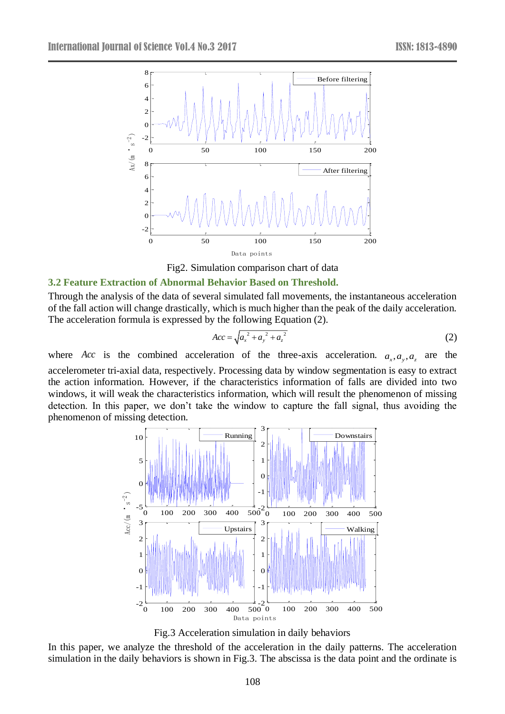

Fig2. Simulation comparison chart of data

### **3.2 Feature Extraction of Abnormal Behavior Based on Threshold.**

Through the analysis of the data of several simulated fall movements, the instantaneous acceleration of the fall action will change drastically, which is much higher than the peak of the daily acceleration. The acceleration formula is expressed by the following Equation (2).

$$
Acc = \sqrt{a_x^2 + a_y^2 + a_z^2}
$$
 (2)

where Acc is the combined acceleration of the three-axis acceleration.  $a_x$ ,  $a_y$ ,  $a_z$  are the accelerometer tri-axial data, respectively. Processing data by window segmentation is easy to extract the action information. However, if the characteristics information of falls are divided into two windows, it will weak the characteristics information, which will result the phenomenon of missing detection. In this paper, we don't take the window to capture the fall signal, thus avoiding the phenomenon of missing detection.



Fig.3 Acceleration simulation in daily behaviors

In this paper, we analyze the threshold of the acceleration in the daily patterns. The acceleration simulation in the daily behaviors is shown in Fig.3. The abscissa is the data point and the ordinate is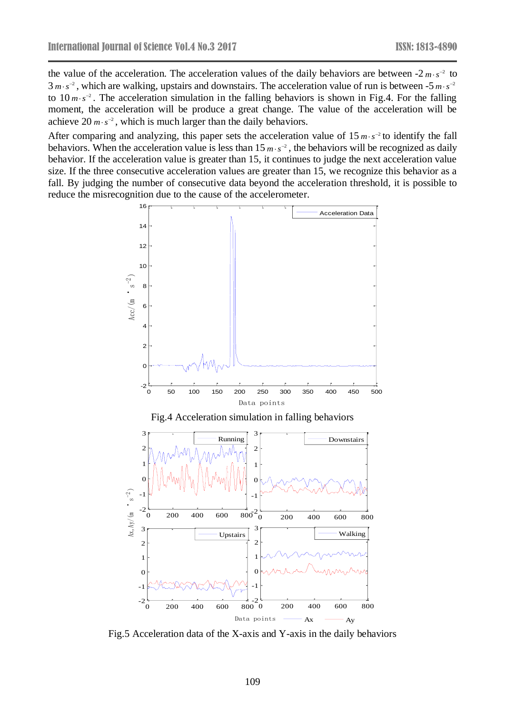the value of the acceleration. The acceleration values of the daily behaviors are between  $-2m \cdot s^{-2}$  to  $3 m \cdot s^{-2}$ , which are walking, upstairs and downstairs. The acceleration value of run is between  $-5 m \cdot s^{-2}$ to  $10 \, m \cdot s^{-2}$ . The acceleration simulation in the falling behaviors is shown in Fig.4. For the falling moment, the acceleration will be produce a great change. The value of the acceleration will be achieve  $20 \, \text{m·s}^{-2}$ , which is much larger than the daily behaviors.

After comparing and analyzing, this paper sets the acceleration value of  $15 \, m \cdot s^{-2}$  to identify the fall behaviors. When the acceleration value is less than  $15 \, \text{m·s}^{-2}$ , the behaviors will be recognized as daily behavior. If the acceleration value is greater than 15, it continues to judge the next acceleration value size. If the three consecutive acceleration values are greater than 15, we recognize this behavior as a fall. By judging the number of consecutive data beyond the acceleration threshold, it is possible to reduce the misrecognition due to the cause of the accelerometer.



Fig.5 Acceleration data of the X-axis and Y-axis in the daily behaviors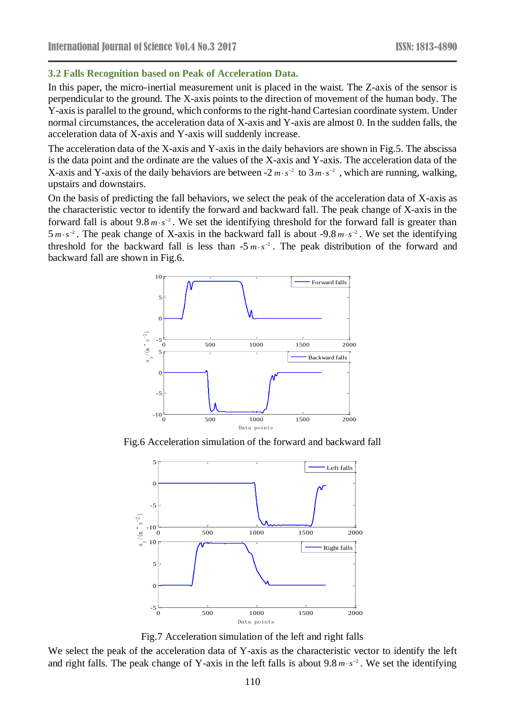### **3.2 Falls Recognition based on Peak of Acceleration Data.**

In this paper, the micro-inertial measurement unit is placed in the waist. The Z-axis of the sensor is perpendicular to the ground. The X-axis points to the direction of movement of the human body. The Y-axis is parallel to the ground, which conforms to the right-hand Cartesian coordinate system. Under normal circumstances, the acceleration data of X-axis and Y-axis are almost 0. In the sudden falls, the acceleration data of X-axis and Y-axis will suddenly increase.

The acceleration data of the X-axis and Y-axis in the daily behaviors are shown in Fig.5. The abscissa is the data point and the ordinate are the values of the X-axis and Y-axis. The acceleration data of the X-axis and Y-axis of the daily behaviors are between  $-2 m \cdot s^{-2}$  to  $3 m \cdot s^{-2}$ , which are running, walking, upstairs and downstairs.

On the basis of predicting the fall behaviors, we select the peak of the acceleration data of X-axis as the characteristic vector to identify the forward and backward fall. The peak change of X-axis in the forward fall is about  $9.8 \text{ m} \cdot \text{s}^{-2}$ . We set the identifying threshold for the forward fall is greater than  $5 \, m \cdot s^{-2}$ . The peak change of X-axis in the backward fall is about -9.8  $m \cdot s^{-2}$ . We set the identifying threshold for the backward fall is less than  $-5 \, m \cdot s^{-2}$ . The peak distribution of the forward and backward fall are shown in Fig.6.



Fig.6 Acceleration simulation of the forward and backward fall



Fig.7 Acceleration simulation of the left and right falls

We select the peak of the acceleration data of Y-axis as the characteristic vector to identify the left and right falls. The peak change of Y-axis in the left falls is about  $9.8 \text{ m} \cdot \text{s}^{-2}$ . We set the identifying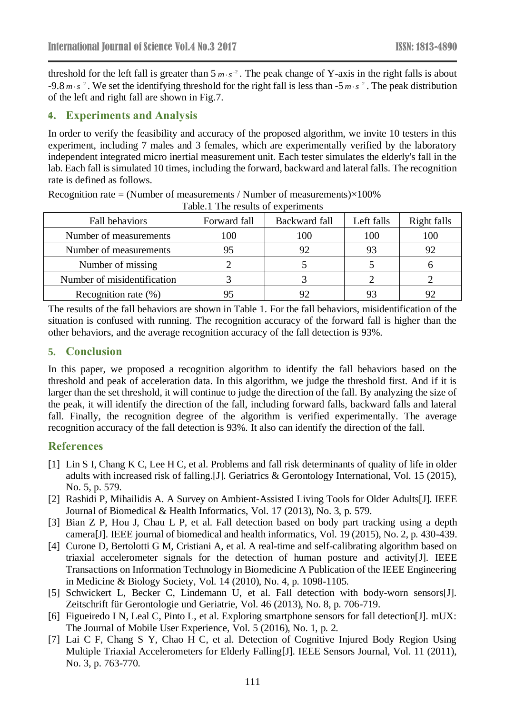threshold for the left fall is greater than  $5 \, m \cdot s^{-2}$ . The peak change of Y-axis in the right falls is about -9.8  $m \cdot s^{-2}$ . We set the identifying threshold for the right fall is less than -5  $m \cdot s^{-2}$ . The peak distribution of the left and right fall are shown in Fig.7.

# **4. Experiments and Analysis**

In order to verify the feasibility and accuracy of the proposed algorithm, we invite 10 testers in this experiment, including 7 males and 3 females, which are experimentally verified by the laboratory independent integrated micro inertial measurement unit. Each tester simulates the elderly's fall in the lab. Each fall is simulated 10 times, including the forward, backward and lateral falls. The recognition rate is defined as follows.

| radic.r The results of experiments |              |               |            |             |
|------------------------------------|--------------|---------------|------------|-------------|
| <b>Fall behaviors</b>              | Forward fall | Backward fall | Left falls | Right falls |
| Number of measurements             | 100          | 100           | 100        | 100         |
| Number of measurements             | 95           | 92            | 93         | 92          |
| Number of missing                  |              |               |            |             |
| Number of misidentification        |              |               |            |             |
| Recognition rate $(\%)$            |              | 92            | 93         | 92          |

Recognition rate = (Number of measurements / Number of measurements) $\times100\%$ Table.1 The results of experiments

The results of the fall behaviors are shown in Table 1. For the fall behaviors, misidentification of the situation is confused with running. The recognition accuracy of the forward fall is higher than the other behaviors, and the average recognition accuracy of the fall detection is 93%.

# **5. Conclusion**

In this paper, we proposed a recognition algorithm to identify the fall behaviors based on the threshold and peak of acceleration data. In this algorithm, we judge the threshold first. And if it is larger than the set threshold, it will continue to judge the direction of the fall. By analyzing the size of the peak, it will identify the direction of the fall, including forward falls, backward falls and lateral fall. Finally, the recognition degree of the algorithm is verified experimentally. The average recognition accuracy of the fall detection is 93%. It also can identify the direction of the fall.

# **References**

- [1] Lin S I, Chang K C, Lee H C, et al. Problems and fall risk determinants of quality of life in older adults with increased risk of falling.[J]. Geriatrics & Gerontology International, Vol. 15 (2015), No. 5, p. 579.
- [2] Rashidi P, Mihailidis A. A Survey on Ambient-Assisted Living Tools for Older Adults[J]. IEEE Journal of Biomedical & Health Informatics, Vol. 17 (2013), No. 3, p. 579.
- [3] Bian Z P, Hou J, Chau L P, et al. Fall detection based on body part tracking using a depth camera[J]. IEEE journal of biomedical and health informatics, Vol. 19 (2015), No. 2, p. 430-439.
- [4] Curone D, Bertolotti G M, Cristiani A, et al. A real-time and self-calibrating algorithm based on triaxial accelerometer signals for the detection of human posture and activity[J]. IEEE Transactions on Information Technology in Biomedicine A Publication of the IEEE Engineering in Medicine & Biology Society, Vol. 14 (2010), No. 4, p. 1098-1105.
- [5] Schwickert L, Becker C, Lindemann U, et al. Fall detection with body-worn sensors[J]. Zeitschrift für Gerontologie und Geriatrie, Vol. 46 (2013), No. 8, p. 706-719.
- [6] Figueiredo I N, Leal C, Pinto L, et al. Exploring smartphone sensors for fall detection[J]. mUX: The Journal of Mobile User Experience, Vol. 5 (2016), No. 1, p. 2.
- [7] Lai C F, Chang S Y, Chao H C, et al. Detection of Cognitive Injured Body Region Using Multiple Triaxial Accelerometers for Elderly Falling[J]. IEEE Sensors Journal, Vol. 11 (2011), No. 3, p. 763-770.